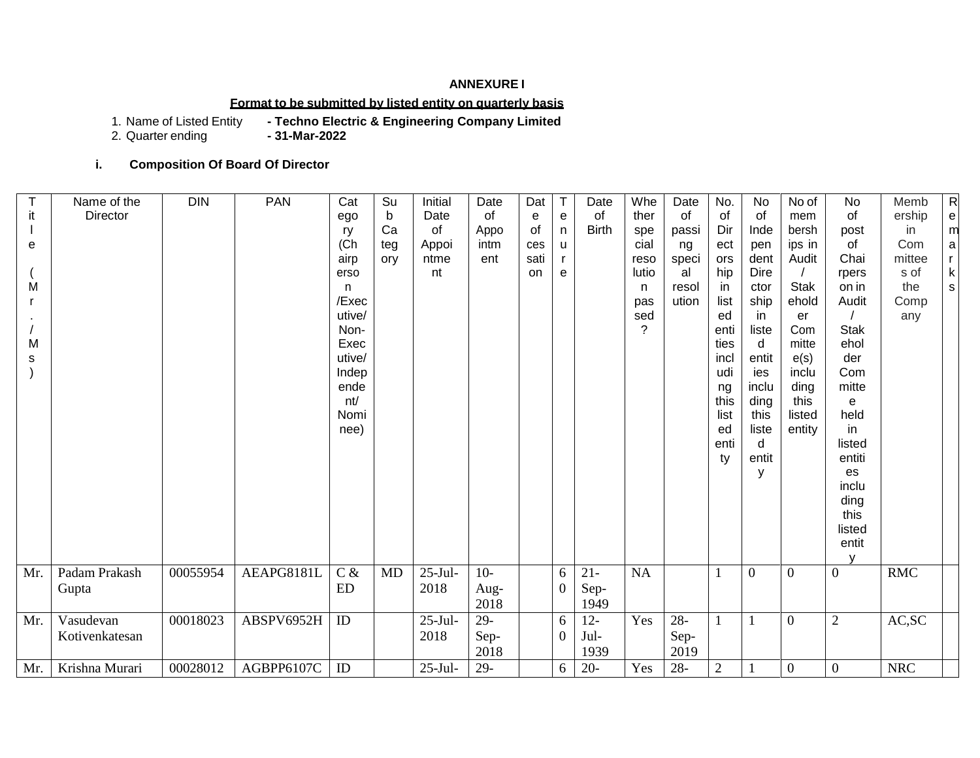### **ANNEXURE I**

## **Format to be submitted by listed entity on quarterly basis**

- Techno Electric & Engineering Company Limited<br>- 31-Mar-2022

1. Name of Listed Entity<br>2. Quarter ending

## **i. Composition Of Board Of Director**

| it     | Name of the<br><b>Director</b> | <b>DIN</b> | <b>PAN</b> | Cat<br>ego              | Su<br>b          | Initial<br>Date     | Date<br>of             | Dat<br>e          | T<br>e                 | Date<br>of             | Whe<br>ther            | Date<br>of             | No.<br>of          | No<br>of             | No of<br>mem             | No<br>of                                | Memb<br>ership      | ${\sf R}$<br>${\bf e}$           |
|--------|--------------------------------|------------|------------|-------------------------|------------------|---------------------|------------------------|-------------------|------------------------|------------------------|------------------------|------------------------|--------------------|----------------------|--------------------------|-----------------------------------------|---------------------|----------------------------------|
| e      |                                |            |            | ry<br>(Ch)<br>airp      | Ca<br>teg<br>ory | of<br>Appoi<br>ntme | Appo<br>intm<br>ent    | 0f<br>ces<br>sati | n<br>u<br>$\mathsf{r}$ | <b>Birth</b>           | spe<br>cial<br>reso    | passi<br>ng<br>speci   | Dir<br>ect<br>ors  | Inde<br>pen<br>dent  | bersh<br>ips in<br>Audit | post<br>of<br>Chai                      | in<br>Com<br>mittee | m<br>$\mathsf a$<br>$\mathsf{r}$ |
| M      |                                |            |            | erso<br>n               |                  | nt                  |                        | <b>on</b>         | e                      |                        | lutio<br>n.            | al<br>resol            | hip<br>in          | Dire<br>ctor         | <b>Stak</b>              | rpers<br>on in                          | s of<br>the         | $\sf k$<br>s                     |
|        |                                |            |            | /Exec<br>utive/<br>Non- |                  |                     |                        |                   |                        |                        | pas<br>sed<br>$\gamma$ | ution                  | list<br>ed<br>enti | ship<br>in.<br>liste | ehold<br>er<br>Com       | Audit<br><b>Stak</b>                    | Comp<br>any         |                                  |
| M<br>s |                                |            |            | Exec<br>utive/          |                  |                     |                        |                   |                        |                        |                        |                        | ties<br>incl       | d<br>entit           | mitte<br>e(s)            | ehol<br>der                             |                     |                                  |
|        |                                |            |            | Indep<br>ende<br>nt/    |                  |                     |                        |                   |                        |                        |                        |                        | udi<br>ng<br>this  | ies<br>inclu<br>ding | inclu<br>ding<br>this    | Com<br>mitte<br>e                       |                     |                                  |
|        |                                |            |            | Nomi<br>nee)            |                  |                     |                        |                   |                        |                        |                        |                        | list<br>ed         | this<br>liste        | listed<br>entity         | held<br>in                              |                     |                                  |
|        |                                |            |            |                         |                  |                     |                        |                   |                        |                        |                        |                        | enti<br>ty         | d<br>entit<br>у      |                          | listed<br>entiti<br>es                  |                     |                                  |
|        |                                |            |            |                         |                  |                     |                        |                   |                        |                        |                        |                        |                    |                      |                          | inclu<br>ding                           |                     |                                  |
|        |                                |            |            |                         |                  |                     |                        |                   |                        |                        |                        |                        |                    |                      |                          | this<br>listed<br>entit<br>$\mathsf{V}$ |                     |                                  |
| Mr.    | Padam Prakash                  | 00055954   | AEAPG8181L | $C \&$                  | MD               | $25-Jul-$           | $10-$                  |                   | 6                      | $21 -$                 | $\rm NA$               |                        |                    | $\overline{0}$       | $\Omega$                 | $\boldsymbol{0}$                        | <b>RMC</b>          |                                  |
|        | Gupta                          |            |            | ED                      |                  | 2018                | Aug-<br>2018           |                   | $\boldsymbol{0}$       | Sep-<br>1949           |                        |                        |                    |                      |                          |                                         |                     |                                  |
| Mr.    | Vasudevan<br>Kotivenkatesan    | 00018023   | ABSPV6952H | ID                      |                  | $25$ -Jul-<br>2018  | $29 -$<br>Sep-<br>2018 |                   | 6<br>$\overline{0}$    | $12 -$<br>Jul-<br>1939 | Yes                    | $28 -$<br>Sep-<br>2019 |                    | 1                    | $\overline{0}$           | $\mathfrak{2}$                          | AC, SC              |                                  |
| Mr.    | Krishna Murari                 | 00028012   | AGBPP6107C | ID                      |                  | $25-Jul-$           | 29-                    |                   | 6                      | $20 -$                 | Yes                    | $28 -$                 | $\overline{2}$     |                      | $\overline{0}$           | $\theta$                                | <b>NRC</b>          |                                  |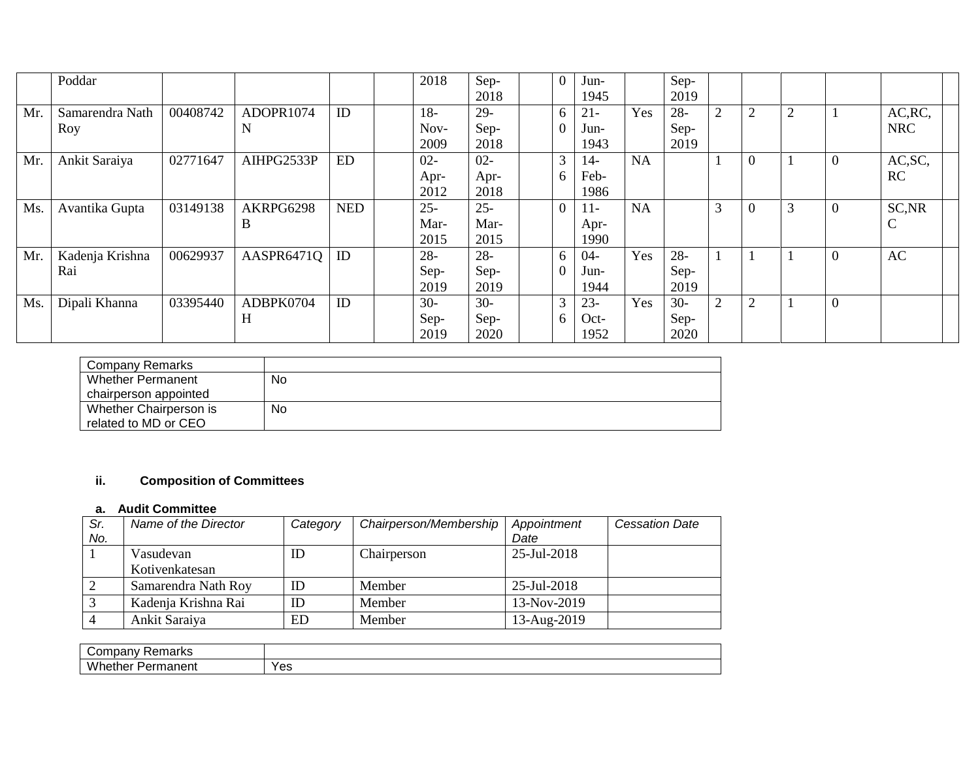|     | Poddar                 |          |                |            | 2018                   | Sep-<br>2018           | $\theta$ | Jun-<br>1945             |           | Sep-<br>2019           |                |                |   |          |                       |
|-----|------------------------|----------|----------------|------------|------------------------|------------------------|----------|--------------------------|-----------|------------------------|----------------|----------------|---|----------|-----------------------|
| Mr. | Samarendra Nath<br>Roy | 00408742 | ADOPR1074<br>N | ID         | $18-$<br>Nov-<br>2009  | $29-$<br>Sep-<br>2018  | 6        | $21 -$<br>Jun-<br>1943   | Yes       | $28 -$<br>Sep-<br>2019 | 2              | $\overline{2}$ |   |          | AC, RC,<br><b>NRC</b> |
| Mr. | Ankit Saraiya          | 02771647 | AIHPG2533P     | <b>ED</b>  | $02 -$<br>Apr-<br>2012 | $02 -$<br>Apr-<br>2018 | 3<br>6   | 14-<br>Feb-<br>1986      | NA        |                        |                | $\overline{0}$ |   | $\Omega$ | AC, SC,<br>RC         |
| Ms. | Avantika Gupta         | 03149138 | AKRPG6298<br>B | <b>NED</b> | $25 -$<br>Mar-<br>2015 | $25 -$<br>Mar-<br>2015 | $\Omega$ | $11-$<br>Apr-<br>1990    | <b>NA</b> |                        | 3              | $\overline{0}$ | 3 | $\Omega$ | SC, NR<br>C           |
| Mr. | Kadenja Krishna<br>Rai | 00629937 | AASPR6471Q     | ID         | $28 -$<br>Sep-<br>2019 | $28 -$<br>Sep-<br>2019 | 6        | $04 -$<br>Jun-<br>1944   | Yes       | $28 -$<br>Sep-<br>2019 |                |                |   | $\Omega$ | AC                    |
| Ms. | Dipali Khanna          | 03395440 | ADBPK0704<br>H | ID         | $30-$<br>Sep-<br>2019  | $30-$<br>Sep-<br>2020  | 3        | $23 -$<br>$Oct-$<br>1952 | Yes       | $30-$<br>Sep-<br>2020  | $\overline{2}$ | $\overline{2}$ |   | $\theta$ |                       |

| Company Remarks          |           |
|--------------------------|-----------|
| <b>Whether Permanent</b> | <b>No</b> |
| chairperson appointed    |           |
| Whether Chairperson is   | No        |
| related to MD or CEO     |           |

# **ii. Composition of Committees**

# **a. Audit Committee**

| Sr. | Name of the Director | Category | Chairperson/Membership | Appointment | <b>Cessation Date</b> |
|-----|----------------------|----------|------------------------|-------------|-----------------------|
| No. |                      |          |                        | Date        |                       |
|     | Vasudevan            | ID       | Chairperson            | 25-Jul-2018 |                       |
|     | Kotivenkatesan       |          |                        |             |                       |
|     | Samarendra Nath Roy  | ID       | Member                 | 25-Jul-2018 |                       |
|     | Kadenja Krishna Rai  | ID       | Member                 | 13-Nov-2019 |                       |
|     | Ankit Saraiya        | ED       | Member                 | 13-Aug-2019 |                       |

| .<br>$\sim$<br>$.$ rl $\prime$ r $\sim$<br>Tiudi<br>uaine                 |     |
|---------------------------------------------------------------------------|-----|
| <br>M'<br>$- - - - - -$<br><b>ether</b><br>-∗1∆۰۰<br>rmanent<br>ז בז<br>எ | Yes |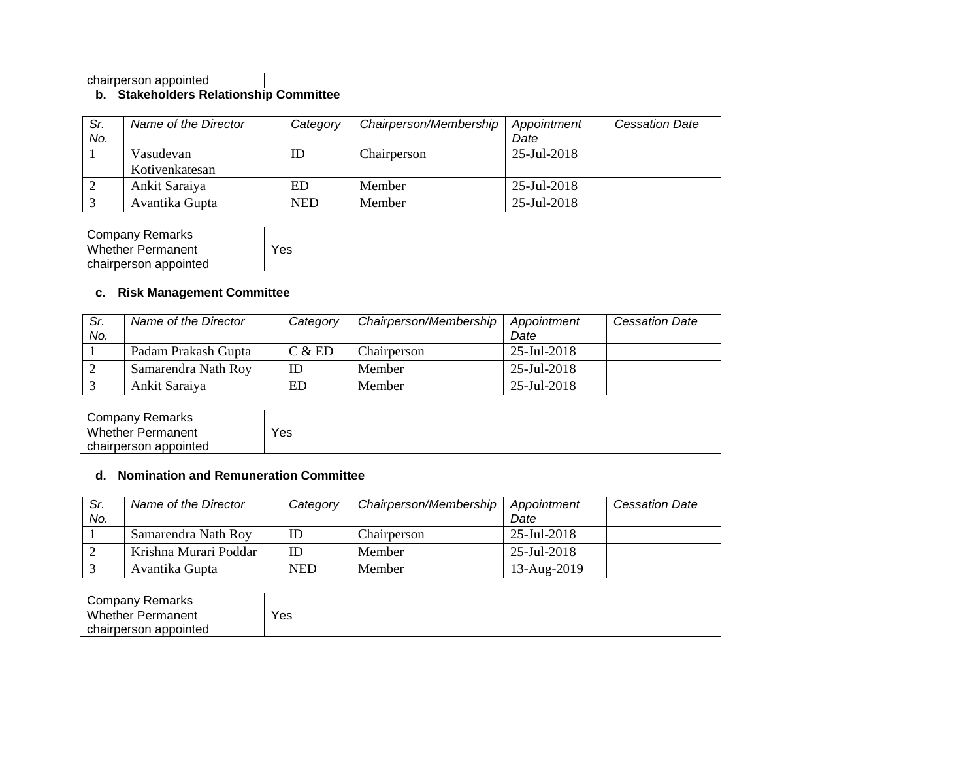#### chairperson appointed

#### **b. Stakeholders Relationship Committee**

| Sr.<br>No. | Name of the Director        | Category   | Chairperson/Membership | Appointment<br>Date | <b>Cessation Date</b> |
|------------|-----------------------------|------------|------------------------|---------------------|-----------------------|
|            | Vasudevan<br>Kotivenkatesan | ID         | Chairperson            | $25$ -Jul-2018      |                       |
|            | Ankit Saraiya               | ED         | Member                 | $25$ -Jul-2018      |                       |
|            | Avantika Gupta              | <b>NED</b> | Member                 | 25-Jul-2018         |                       |

| Company<br>Remarks       |     |
|--------------------------|-----|
| <b>Whether Permanent</b> | Yes |
| chairperson appointed    |     |

# **c. Risk Management Committee**

| Sr.<br>No. | Name of the Director | Category | Chairperson/Membership | Appointment<br>Date | <b>Cessation Date</b> |
|------------|----------------------|----------|------------------------|---------------------|-----------------------|
|            | Padam Prakash Gupta  | C & E D  | Chairperson            | 25-Jul-2018         |                       |
|            | Samarendra Nath Roy  |          | Member                 | $25$ -Jul-2018      |                       |
|            | Ankit Saraiya        | ED       | Member                 | $25$ -Jul-2018      |                       |

| Company Remarks          |     |
|--------------------------|-----|
| Whether<br>Permanent     | Yes |
| appointed<br>chairperson |     |

# **d. Nomination and Remuneration Committee**

| Sr.<br>No. | Name of the Director  | Category   | Chairperson/Membership | Appointment<br>Date | <b>Cessation Date</b> |
|------------|-----------------------|------------|------------------------|---------------------|-----------------------|
|            | Samarendra Nath Roy   | ID         | Chairperson            | 25-Jul-2018         |                       |
|            | Krishna Murari Poddar | ID         | Member                 | 25-Jul-2018         |                       |
|            | Avantika Gupta        | <b>NED</b> | Member                 | 13-Aug-2019         |                       |

| Company Remarks          |     |
|--------------------------|-----|
| <b>Whether Permanent</b> | Yes |
| chairperson<br>appointed |     |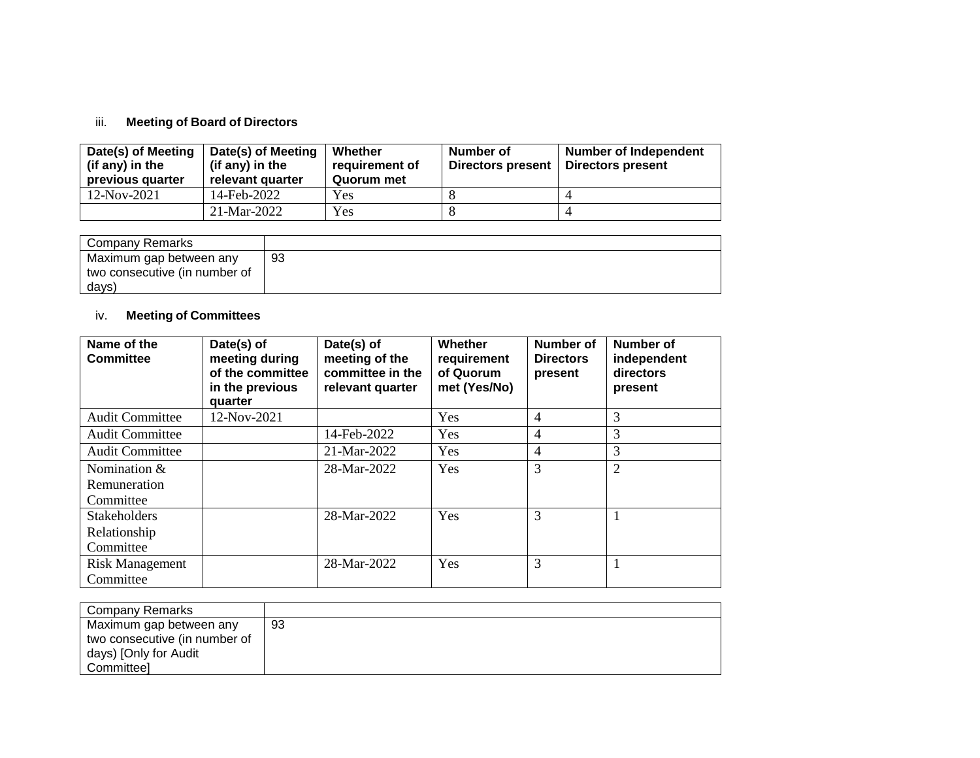### iii. **Meeting of Board of Directors**

| Date(s) of Meeting<br>(if any) in the<br>previous quarter | Date(s) of Meeting<br>(if any) in the<br>relevant quarter | Whether<br>requirement of<br>Quorum met | Number of<br>Directors present | <b>Number of Independent</b><br>Directors present |
|-----------------------------------------------------------|-----------------------------------------------------------|-----------------------------------------|--------------------------------|---------------------------------------------------|
| 12-Nov-2021                                               | 14-Feb-2022                                               | Yes                                     |                                |                                                   |
|                                                           | 21-Mar-2022                                               | Yes                                     |                                |                                                   |

| Company Remarks               |     |
|-------------------------------|-----|
| Maximum gap between any       | -93 |
| two consecutive (in number of |     |
| days)                         |     |

# iv. **Meeting of Committees**

| Name of the<br><b>Committee</b>     | Date(s) of<br>meeting during<br>of the committee<br>in the previous<br>quarter | Date(s) of<br>meeting of the<br>committee in the<br>relevant quarter | Whether<br>requirement<br>of Quorum<br>met (Yes/No) | Number of<br><b>Directors</b><br>present | Number of<br>independent<br>directors<br>present |
|-------------------------------------|--------------------------------------------------------------------------------|----------------------------------------------------------------------|-----------------------------------------------------|------------------------------------------|--------------------------------------------------|
| <b>Audit Committee</b>              | 12-Nov-2021                                                                    |                                                                      | Yes                                                 | $\overline{4}$                           | 3                                                |
| <b>Audit Committee</b>              |                                                                                | 14-Feb-2022                                                          | Yes                                                 | 4                                        | 3                                                |
| <b>Audit Committee</b>              |                                                                                | 21-Mar-2022                                                          | Yes                                                 | $\overline{4}$                           | 3                                                |
| Nomination &<br>Remuneration        |                                                                                | 28-Mar-2022                                                          | Yes                                                 | 3                                        | $\overline{2}$                                   |
| Committee                           |                                                                                |                                                                      |                                                     |                                          |                                                  |
| <b>Stakeholders</b>                 |                                                                                | 28-Mar-2022                                                          | Yes                                                 | 3                                        |                                                  |
| Relationship                        |                                                                                |                                                                      |                                                     |                                          |                                                  |
| Committee                           |                                                                                |                                                                      |                                                     |                                          |                                                  |
| <b>Risk Management</b><br>Committee |                                                                                | 28-Mar-2022                                                          | Yes                                                 | 3                                        |                                                  |

| <b>Company Remarks</b>                                                                                 |     |
|--------------------------------------------------------------------------------------------------------|-----|
| Maximum gap between any<br>two consecutive (in number of<br>days) [Only for Audit<br><b>Committeel</b> | -93 |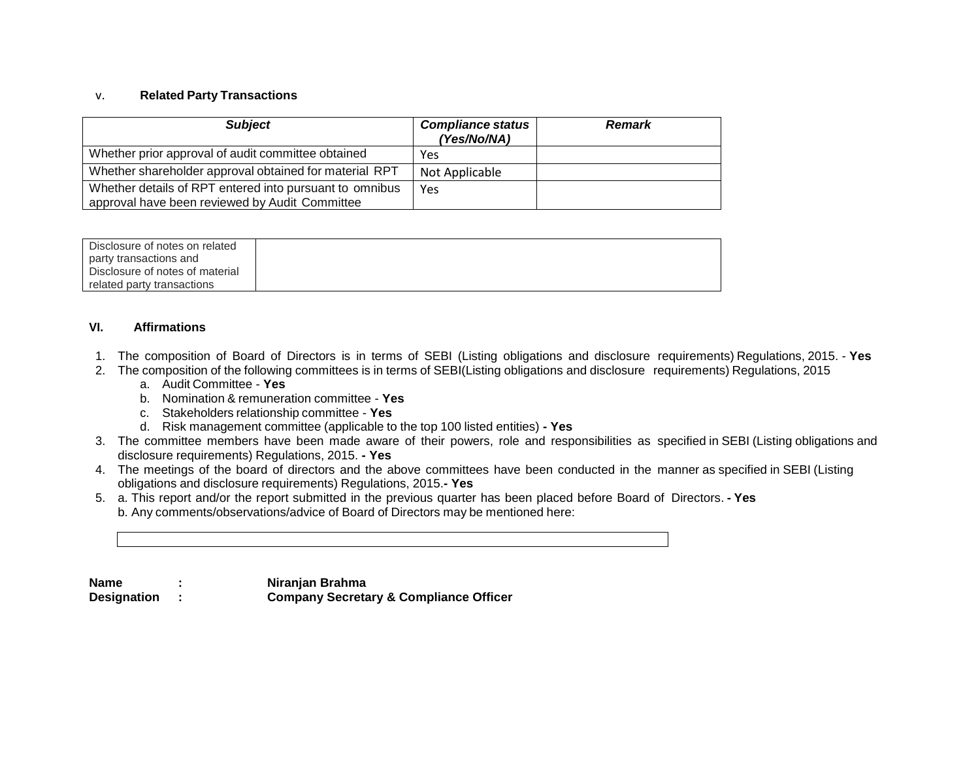### v. **Related Party Transactions**

| <b>Subject</b>                                                                                            | <b>Compliance status</b><br><b>Remark</b><br>(Yes/No/NA) |  |
|-----------------------------------------------------------------------------------------------------------|----------------------------------------------------------|--|
| Whether prior approval of audit committee obtained                                                        | Yes                                                      |  |
| Whether shareholder approval obtained for material RPT                                                    | Not Applicable                                           |  |
| Whether details of RPT entered into pursuant to omnibus<br>approval have been reviewed by Audit Committee | Yes                                                      |  |

| Disclosure of notes on related  |  |
|---------------------------------|--|
| party transactions and          |  |
| Disclosure of notes of material |  |
| related party transactions      |  |

### **VI. Affirmations**

- 1. The composition of Board of Directors is in terms of SEBI (Listing obligations and disclosure requirements) Regulations, 2015. **Yes**
- 2. The composition of the following committees is in terms of SEBI(Listing obligations and disclosure requirements) Regulations, 2015
	- a. Audit Committee **Yes**
	- b. Nomination & remuneration committee **Yes**
	- c. Stakeholders relationship committee **Yes**
	- d. Risk management committee (applicable to the top 100 listed entities) **- Yes**
- 3. The committee members have been made aware of their powers, role and responsibilities as specified in SEBI (Listing obligations and disclosure requirements) Regulations, 2015. **- Yes**
- 4. The meetings of the board of directors and the above committees have been conducted in the manner as specified in SEBI (Listing obligations and disclosure requirements) Regulations, 2015.**- Yes**
- 5. a. This report and/or the report submitted in the previous quarter has been placed before Board of Directors. **- Yes** b. Any comments/observations/advice of Board of Directors may be mentioned here:

**Name : Niranjan Brahma**

**Designation : Company Secretary & Compliance Officer**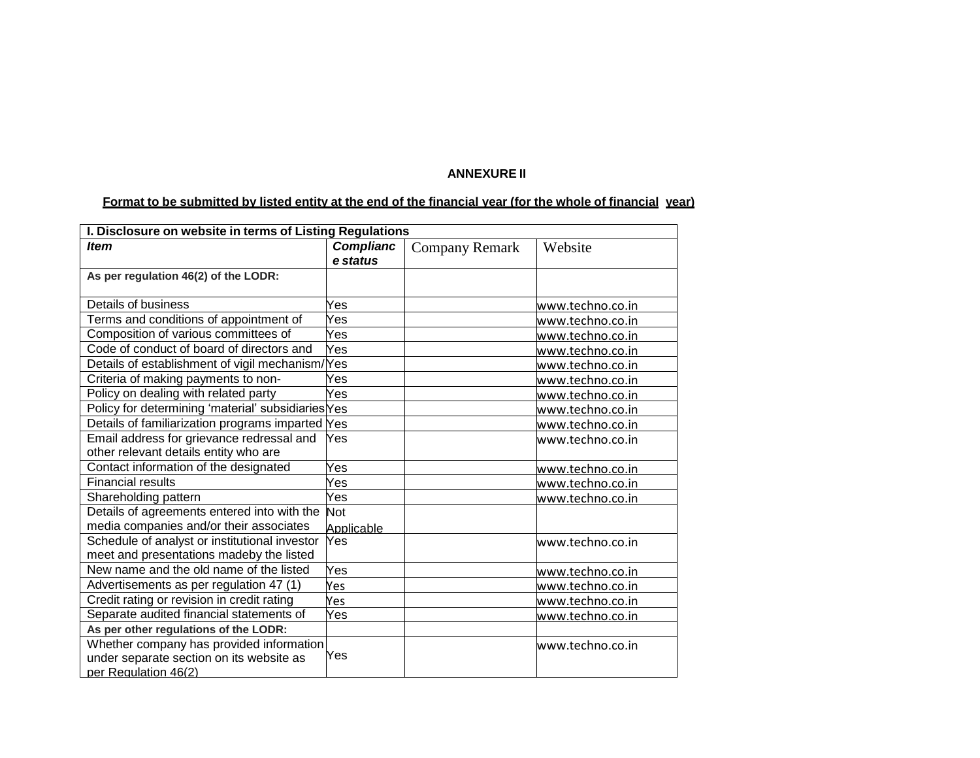# **ANNEXURE II**

# Format to be submitted by listed entity at the end of the financial year (for the whole of financial year)

| I. Disclosure on website in terms of Listing Regulations |                  |                       |                  |  |  |  |
|----------------------------------------------------------|------------------|-----------------------|------------------|--|--|--|
| <b>Item</b>                                              | <b>Complianc</b> | <b>Company Remark</b> | Website          |  |  |  |
|                                                          | e status         |                       |                  |  |  |  |
| As per regulation 46(2) of the LODR:                     |                  |                       |                  |  |  |  |
|                                                          |                  |                       |                  |  |  |  |
| Details of business                                      | Yes              |                       | www.techno.co.in |  |  |  |
| Terms and conditions of appointment of                   | Yes              |                       | www.techno.co.in |  |  |  |
| Composition of various committees of                     | Yes              |                       | www.techno.co.in |  |  |  |
| Code of conduct of board of directors and                | Yes              |                       | www.techno.co.in |  |  |  |
| Details of establishment of vigil mechanism/             | 'Yes             |                       | www.techno.co.in |  |  |  |
| Criteria of making payments to non-                      | Yes              |                       | www.techno.co.in |  |  |  |
| Policy on dealing with related party                     | Yes              |                       | www.techno.co.in |  |  |  |
| Policy for determining 'material' subsidiaries Yes       |                  |                       | www.techno.co.in |  |  |  |
| Details of familiarization programs imparted Yes         |                  |                       | www.techno.co.in |  |  |  |
| Email address for grievance redressal and                | Yes              |                       | www.techno.co.in |  |  |  |
| other relevant details entity who are                    |                  |                       |                  |  |  |  |
| Contact information of the designated                    | Yes              |                       | www.techno.co.in |  |  |  |
| <b>Financial results</b>                                 | Yes              |                       | www.techno.co.in |  |  |  |
| Shareholding pattern                                     | Yes              |                       | www.techno.co.in |  |  |  |
| Details of agreements entered into with the              | <b>Not</b>       |                       |                  |  |  |  |
| media companies and/or their associates                  | Applicable       |                       |                  |  |  |  |
| Schedule of analyst or institutional investor            | Yes              |                       | www.techno.co.in |  |  |  |
| meet and presentations madeby the listed                 |                  |                       |                  |  |  |  |
| New name and the old name of the listed                  | Yes              |                       | www.techno.co.in |  |  |  |
| Advertisements as per regulation 47 (1)                  | Yes              |                       | www.techno.co.in |  |  |  |
| Credit rating or revision in credit rating               | Yes              |                       | www.techno.co.in |  |  |  |
| Separate audited financial statements of                 | Yes              |                       | www.techno.co.in |  |  |  |
| As per other regulations of the LODR:                    |                  |                       |                  |  |  |  |
| Whether company has provided information                 |                  |                       | www.techno.co.in |  |  |  |
| under separate section on its website as                 | Yes              |                       |                  |  |  |  |
| per Regulation 46(2)                                     |                  |                       |                  |  |  |  |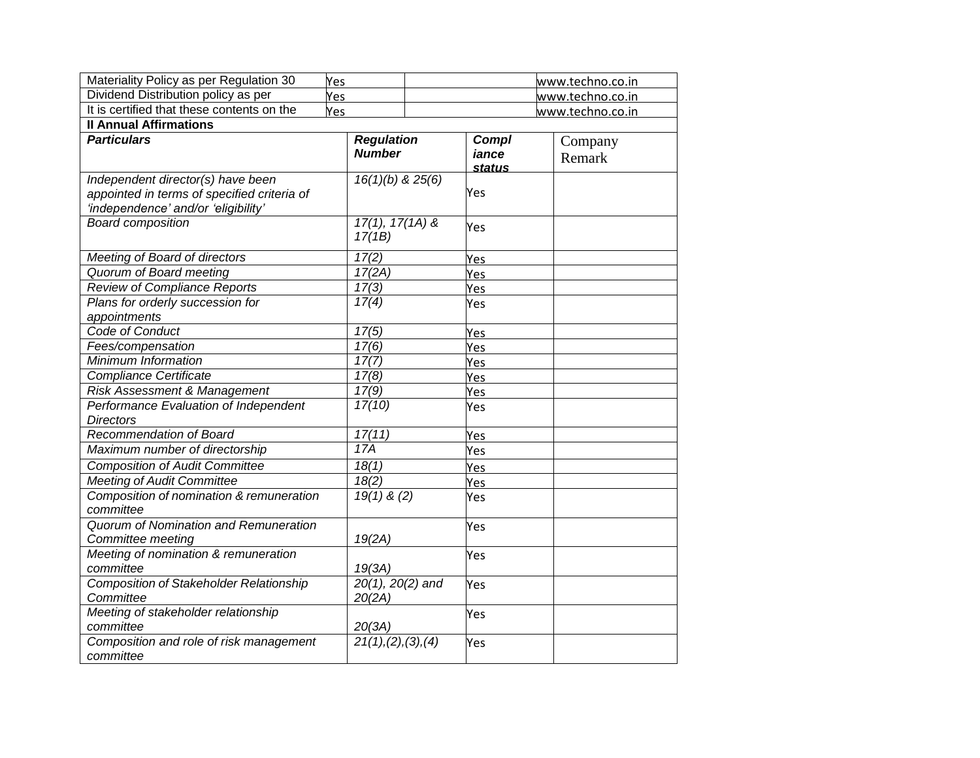| Materiality Policy as per Regulation 30                                                                                 | Yes                                |                                 | www.techno.co.in  |
|-------------------------------------------------------------------------------------------------------------------------|------------------------------------|---------------------------------|-------------------|
| Dividend Distribution policy as per                                                                                     | Yes                                | www.techno.co.in                |                   |
| It is certified that these contents on the                                                                              | Yes                                |                                 | www.techno.co.in  |
| <b>Il Annual Affirmations</b>                                                                                           |                                    |                                 |                   |
| <b>Particulars</b>                                                                                                      | <b>Regulation</b><br><b>Number</b> | Compl<br>iance<br><b>status</b> | Company<br>Remark |
| Independent director(s) have been<br>appointed in terms of specified criteria of<br>'independence' and/or 'eligibility' | $16(1)(b)$ & $25(6)$               | Yes                             |                   |
| <b>Board composition</b>                                                                                                | $17(1), 17(1A)$ &<br>17(1B)        | Yes                             |                   |
| Meeting of Board of directors                                                                                           | 17(2)                              | Yes                             |                   |
| Quorum of Board meeting                                                                                                 | 17(2A)                             | Yes                             |                   |
| <b>Review of Compliance Reports</b>                                                                                     | 17(3)                              | Yes                             |                   |
| Plans for orderly succession for<br>appointments                                                                        | 17(4)                              | Yes                             |                   |
| Code of Conduct                                                                                                         | 17(5)                              | Yes                             |                   |
| Fees/compensation                                                                                                       | 17(6)                              | Yes                             |                   |
| Minimum Information                                                                                                     | 17(7)                              | Yes                             |                   |
| <b>Compliance Certificate</b>                                                                                           | 17(8)                              | Yes                             |                   |
| Risk Assessment & Management                                                                                            | 17(9)                              | Yes                             |                   |
| Performance Evaluation of Independent                                                                                   | 17(10)                             | Yes                             |                   |
| <b>Directors</b>                                                                                                        |                                    |                                 |                   |
| Recommendation of Board                                                                                                 | 17(11)                             | Yes                             |                   |
| Maximum number of directorship                                                                                          | 17A                                | Yes                             |                   |
| <b>Composition of Audit Committee</b>                                                                                   | 18(1)                              | Yes                             |                   |
| <b>Meeting of Audit Committee</b>                                                                                       | 18(2)                              | Yes                             |                   |
| Composition of nomination & remuneration<br>committee                                                                   | $19(1)$ & (2)                      | Yes                             |                   |
| Quorum of Nomination and Remuneration<br>Committee meeting                                                              | 19(2A)                             | Yes                             |                   |
| Meeting of nomination & remuneration<br>committee                                                                       | 19(3A)                             | Yes                             |                   |
| <b>Composition of Stakeholder Relationship</b><br>Committee                                                             | $20(1), 20(2)$ and<br>20(2A)       | Yes                             |                   |
| Meeting of stakeholder relationship<br>committee                                                                        | 20(3A)                             | Yes                             |                   |
| Composition and role of risk management<br>committee                                                                    | 21(1), (2), (3), (4)               | Yes                             |                   |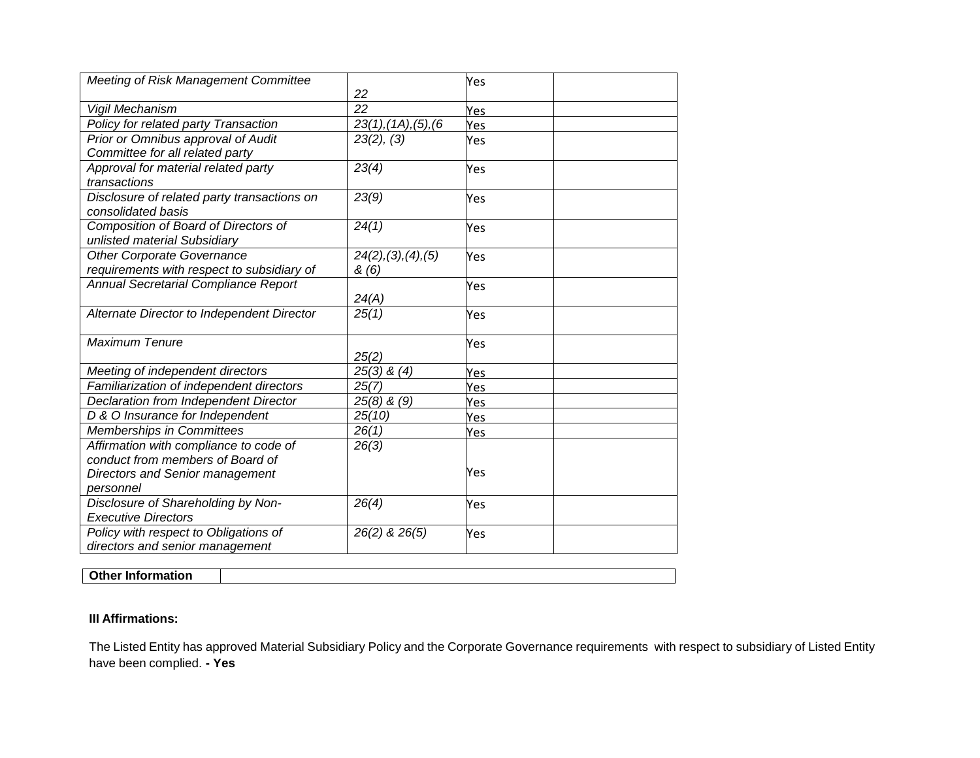| <b>Meeting of Risk Management Committee</b>                                     | 22                           | Yes |
|---------------------------------------------------------------------------------|------------------------------|-----|
| Vigil Mechanism                                                                 | 22                           | Yes |
| Policy for related party Transaction                                            | 23(1), (1A), (5), (6)        | Yes |
| Prior or Omnibus approval of Audit<br>Committee for all related party           | 23(2), (3)                   | Yes |
| Approval for material related party<br>transactions                             | 23(4)                        | Yes |
| Disclosure of related party transactions on<br>consolidated basis               | 23(9)                        | Yes |
| Composition of Board of Directors of<br>unlisted material Subsidiary            | 24(1)                        | Yes |
| <b>Other Corporate Governance</b><br>requirements with respect to subsidiary of | 24(2), (3), (4), (5)<br>&(6) | Yes |
| Annual Secretarial Compliance Report                                            | 24(A)                        | Yes |
| Alternate Director to Independent Director                                      | 25(1)                        | Yes |
| <b>Maximum Tenure</b>                                                           | 25(2)                        | Yes |
| Meeting of independent directors                                                | $25(3)$ & $(4)$              | Yes |
| Familiarization of independent directors                                        | 25(7)                        | Yes |
| Declaration from Independent Director                                           | $25(8)$ & $(9)$              | Yes |
| D & O Insurance for Independent                                                 | 25(10)                       | Yes |
| Memberships in Committees                                                       | 26(1)                        | Yes |
| Affirmation with compliance to code of                                          | 26(3)                        |     |
| conduct from members of Board of                                                |                              |     |
| <b>Directors and Senior management</b>                                          |                              | Yes |
| personnel                                                                       |                              |     |
| Disclosure of Shareholding by Non-                                              | 26(4)                        | Yes |
| <b>Executive Directors</b>                                                      |                              |     |
| Policy with respect to Obligations of<br>directors and senior management        | 26(2) & 26(5)                | Yes |

**Other Information**

### **III Affirmations:**

The Listed Entity has approved Material Subsidiary Policy and the Corporate Governance requirements with respect to subsidiary of Listed Entity have been complied. **- Yes**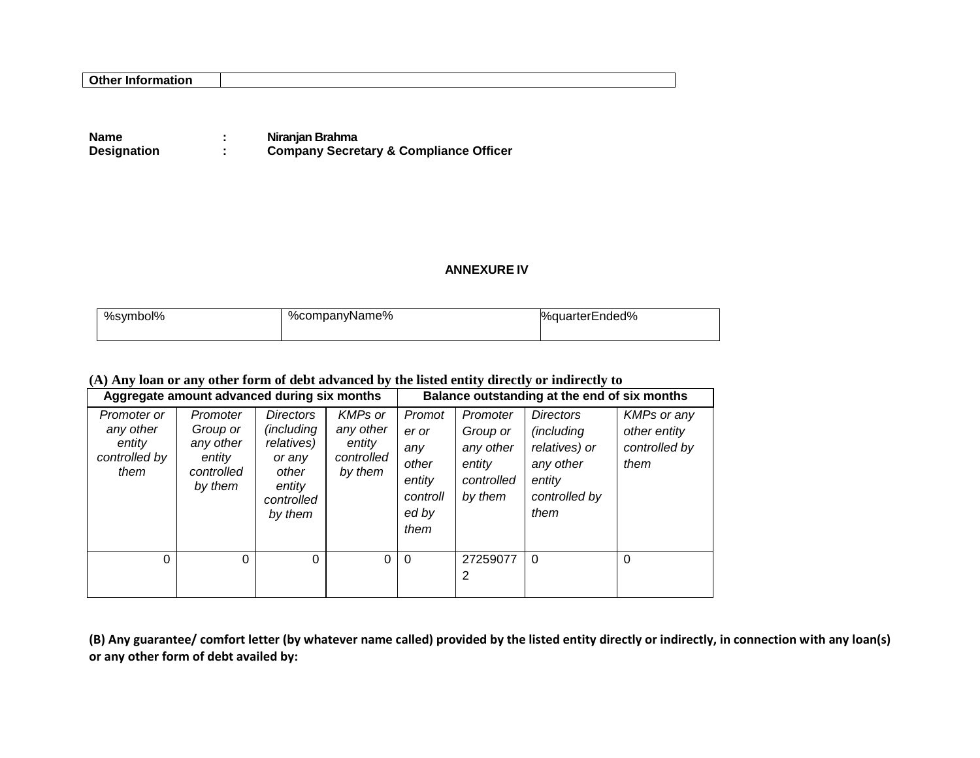**Name 11 Seminutes 11 Seminutes 11 Seminutes 12 Niranjan Brahma<br>
<b>12 Sempany Secre 21 Sempany Secre Designation : Company Secretary & Compliance Officer**

### **ANNEXURE IV**

| %symbol% | %companyName% | %quarterEnded% |  |  |
|----------|---------------|----------------|--|--|
|          |               |                |  |  |

### **(A) Any loan or any other form of debt advanced by the listed entity directly or indirectly to**

| Aggregate amount advanced during six months                 |                                                                      |                                                                                                    |                                                                |                                                                        | Balance outstanding at the end of six months                         |                                                                                                        |                                                             |
|-------------------------------------------------------------|----------------------------------------------------------------------|----------------------------------------------------------------------------------------------------|----------------------------------------------------------------|------------------------------------------------------------------------|----------------------------------------------------------------------|--------------------------------------------------------------------------------------------------------|-------------------------------------------------------------|
| Promoter or<br>any other<br>entity<br>controlled by<br>them | Promoter<br>Group or<br>any other<br>entity<br>controlled<br>by them | <b>Directors</b><br>(including<br>relatives)<br>or any<br>other<br>entity<br>controlled<br>by them | <b>KMPs or</b><br>any other<br>entity<br>controlled<br>by them | Promot<br>er or<br>any<br>other<br>entity<br>controll<br>ed by<br>them | Promoter<br>Group or<br>any other<br>entity<br>controlled<br>by them | <b>Directors</b><br><i>(including</i><br>relatives) or<br>any other<br>entity<br>controlled by<br>them | <b>KMPs or any</b><br>other entity<br>controlled by<br>them |
| 0                                                           | 0                                                                    | $\Omega$                                                                                           | 0                                                              | $\Omega$                                                               | 27259077<br>2                                                        | $\Omega$                                                                                               | $\Omega$                                                    |

**(B) Any guarantee/ comfort letter (by whatever name called) provided by the listed entity directly or indirectly, in connection with any loan(s) or any other form of debt availed by:**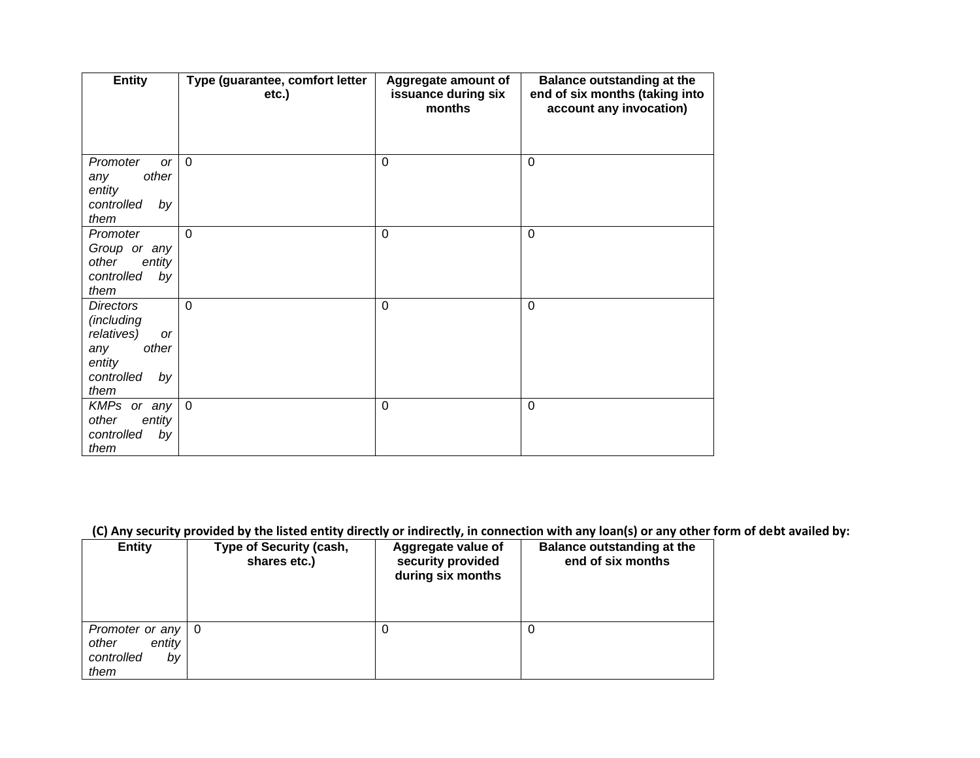| <b>Entity</b>                                                                                                   | Type (guarantee, comfort letter<br>etc.) | Aggregate amount of<br>issuance during six<br>months | <b>Balance outstanding at the</b><br>end of six months (taking into<br>account any invocation) |
|-----------------------------------------------------------------------------------------------------------------|------------------------------------------|------------------------------------------------------|------------------------------------------------------------------------------------------------|
| Promoter<br><b>or</b><br>other<br>any<br>entity<br>controlled<br>by<br>them                                     | $\overline{0}$                           | $\mathbf 0$                                          | $\mathbf 0$                                                                                    |
| Promoter<br>Group or any<br>other<br>entity<br>controlled<br>by<br>them                                         | $\mathbf 0$                              | $\mathbf 0$                                          | $\mathbf 0$                                                                                    |
| <b>Directors</b><br>(including<br>relatives)<br><b>or</b><br>other<br>any<br>entity<br>controlled<br>by<br>them | $\mathbf 0$                              | $\mathbf 0$                                          | $\mathbf 0$                                                                                    |
| $KMPs$ or any<br>other<br>entity<br>controlled<br>by<br>them                                                    | $\overline{0}$                           | $\mathbf 0$                                          | $\mathbf 0$                                                                                    |

# **(C) Any security provided by the listed entity directly or indirectly, in connection with any loan(s) or any other form of debt availed by:**

|                                                                    |                                                | . .                                                          | . .                                                    |
|--------------------------------------------------------------------|------------------------------------------------|--------------------------------------------------------------|--------------------------------------------------------|
| <b>Entity</b>                                                      | <b>Type of Security (cash,</b><br>shares etc.) | Aggregate value of<br>security provided<br>during six months | <b>Balance outstanding at the</b><br>end of six months |
| Promoter or any   0<br>entity<br>other<br>controlled<br>by<br>them |                                                | 0                                                            | 0                                                      |